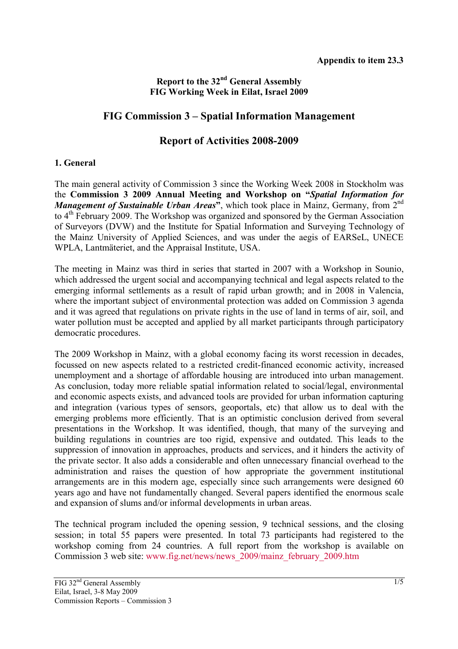# **Report to the 32nd General Assembly FIG Working Week in Eilat, Israel 2009**

# **FIG Commission 3 – Spatial Information Management**

# **Report of Activities 2008-2009**

## **1. General**

The main general activity of Commission 3 since the Working Week 2008 in Stockholm was the **Commission 3 2009 Annual Meeting and Workshop on "***Spatial Information for Management of Sustainable Urban Areas*<sup>3</sup>, which took place in Mainz, Germany, from 2<sup>nd</sup> to 4<sup>th</sup> February 2009. The Workshop was organized and sponsored by the German Association of Surveyors (DVW) and the Institute for Spatial Information and Surveying Technology of the Mainz University of Applied Sciences, and was under the aegis of EARSeL, UNECE WPLA, Lantmäteriet, and the Appraisal Institute, USA.

The meeting in Mainz was third in series that started in 2007 with a Workshop in Sounio, which addressed the urgent social and accompanying technical and legal aspects related to the emerging informal settlements as a result of rapid urban growth; and in 2008 in Valencia, where the important subject of environmental protection was added on Commission 3 agenda and it was agreed that regulations on private rights in the use of land in terms of air, soil, and water pollution must be accepted and applied by all market participants through participatory democratic procedures.

The 2009 Workshop in Mainz, with a global economy facing its worst recession in decades, focussed on new aspects related to a restricted credit-financed economic activity, increased unemployment and a shortage of affordable housing are introduced into urban management. As conclusion, today more reliable spatial information related to social/legal, environmental and economic aspects exists, and advanced tools are provided for urban information capturing and integration (various types of sensors, geoportals, etc) that allow us to deal with the emerging problems more efficiently. That is an optimistic conclusion derived from several presentations in the Workshop. It was identified, though, that many of the surveying and building regulations in countries are too rigid, expensive and outdated. This leads to the suppression of innovation in approaches, products and services, and it hinders the activity of the private sector. It also adds a considerable and often unnecessary financial overhead to the administration and raises the question of how appropriate the government institutional arrangements are in this modern age, especially since such arrangements were designed 60 years ago and have not fundamentally changed. Several papers identified the enormous scale and expansion of slums and/or informal developments in urban areas.

The technical program included the opening session, 9 technical sessions, and the closing session; in total 55 papers were presented. In total 73 participants had registered to the workshop coming from 24 countries. A full report from the workshop is available on Commission 3 web site: www.fig.net/news/news\_2009/mainz\_february\_2009.htm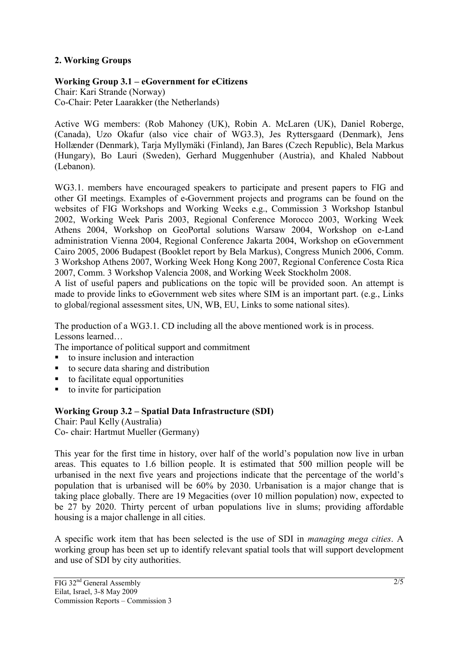# **2. Working Groups**

# **Working Group 3.1 – eGovernment for eCitizens**

Chair: Kari Strande (Norway) Co-Chair: Peter Laarakker (the Netherlands)

Active WG members: (Rob Mahoney (UK), Robin A. McLaren (UK), Daniel Roberge, (Canada), Uzo Okafur (also vice chair of WG3.3), Jes Ryttersgaard (Denmark), Jens Hollænder (Denmark), Tarja Myllymäki (Finland), Jan Bares (Czech Republic), Bela Markus (Hungary), Bo Lauri (Sweden), Gerhard Muggenhuber (Austria), and Khaled Nabbout (Lebanon).

WG3.1. members have encouraged speakers to participate and present papers to FIG and other GI meetings. Examples of e-Government projects and programs can be found on the websites of FIG Workshops and Working Weeks e.g., Commission 3 Workshop Istanbul 2002, Working Week Paris 2003, Regional Conference Morocco 2003, Working Week Athens 2004, Workshop on GeoPortal solutions Warsaw 2004, Workshop on e-Land administration Vienna 2004, Regional Conference Jakarta 2004, Workshop on eGovernment Cairo 2005, 2006 Budapest (Booklet report by Bela Markus), Congress Munich 2006, Comm. 3 Workshop Athens 2007, Working Week Hong Kong 2007, Regional Conference Costa Rica 2007, Comm. 3 Workshop Valencia 2008, and Working Week Stockholm 2008.

A list of useful papers and publications on the topic will be provided soon. An attempt is made to provide links to eGovernment web sites where SIM is an important part. (e.g., Links to global/regional assessment sites, UN, WB, EU, Links to some national sites).

The production of a WG3.1. CD including all the above mentioned work is in process. Lessons learned…

The importance of political support and commitment

- to insure inclusion and interaction
- to secure data sharing and distribution
- $\blacksquare$  to facilitate equal opportunities
- $\bullet$  to invite for participation

## **Working Group 3.2 – Spatial Data Infrastructure (SDI)**

Chair: Paul Kelly (Australia) Co- chair: Hartmut Mueller (Germany)

This year for the first time in history, over half of the world's population now live in urban areas. This equates to 1.6 billion people. It is estimated that 500 million people will be urbanised in the next five years and projections indicate that the percentage of the world's population that is urbanised will be 60% by 2030. Urbanisation is a major change that is taking place globally. There are 19 Megacities (over 10 million population) now, expected to be 27 by 2020. Thirty percent of urban populations live in slums; providing affordable housing is a major challenge in all cities.

A specific work item that has been selected is the use of SDI in *managing mega cities*. A working group has been set up to identify relevant spatial tools that will support development and use of SDI by city authorities.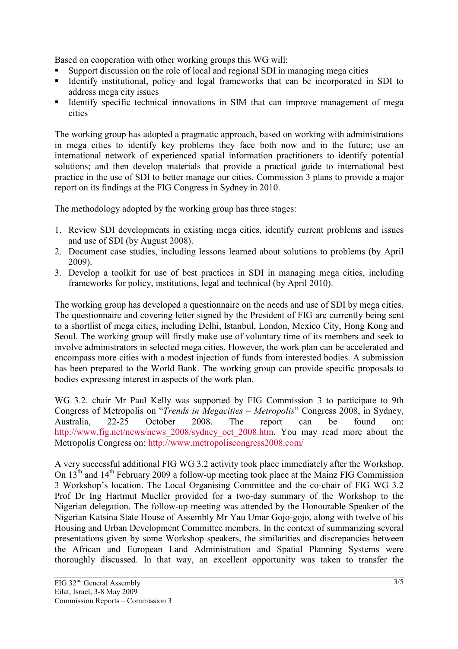Based on cooperation with other working groups this WG will:

- Support discussion on the role of local and regional SDI in managing mega cities
- Identify institutional, policy and legal frameworks that can be incorporated in SDI to address mega city issues
- Identify specific technical innovations in SIM that can improve management of mega cities

The working group has adopted a pragmatic approach, based on working with administrations in mega cities to identify key problems they face both now and in the future; use an international network of experienced spatial information practitioners to identify potential solutions; and then develop materials that provide a practical guide to international best practice in the use of SDI to better manage our cities. Commission 3 plans to provide a major report on its findings at the FIG Congress in Sydney in 2010.

The methodology adopted by the working group has three stages:

- 1. Review SDI developments in existing mega cities, identify current problems and issues and use of SDI (by August 2008).
- 2. Document case studies, including lessons learned about solutions to problems (by April 2009).
- 3. Develop a toolkit for use of best practices in SDI in managing mega cities, including frameworks for policy, institutions, legal and technical (by April 2010).

The working group has developed a questionnaire on the needs and use of SDI by mega cities. The questionnaire and covering letter signed by the President of FIG are currently being sent to a shortlist of mega cities, including Delhi, Istanbul, London, Mexico City, Hong Kong and Seoul. The working group will firstly make use of voluntary time of its members and seek to involve administrators in selected mega cities. However, the work plan can be accelerated and encompass more cities with a modest injection of funds from interested bodies. A submission has been prepared to the World Bank. The working group can provide specific proposals to bodies expressing interest in aspects of the work plan.

WG 3.2. chair Mr Paul Kelly was supported by FIG Commission 3 to participate to 9th Congress of Metropolis on "*Trends in Megacities – Metropolis*" Congress 2008, in Sydney, Australia, 22-25 October 2008. The report can be found on: http://www.fig.net/news/news\_2008/sydney\_oct\_2008.htm. You may read more about the Metropolis Congress on: http://www.metropoliscongress2008.com/

A very successful additional FIG WG 3.2 activity took place immediately after the Workshop. On 13<sup>th</sup> and 14<sup>th</sup> February 2009 a follow-up meeting took place at the Mainz FIG Commission 3 Workshop's location. The Local Organising Committee and the co-chair of FIG WG 3.2 Prof Dr Ing Hartmut Mueller provided for a two-day summary of the Workshop to the Nigerian delegation. The follow-up meeting was attended by the Honourable Speaker of the Nigerian Katsina State House of Assembly Mr Yau Umar Gojo-gojo, along with twelve of his Housing and Urban Development Committee members. In the context of summarizing several presentations given by some Workshop speakers, the similarities and discrepancies between the African and European Land Administration and Spatial Planning Systems were thoroughly discussed. In that way, an excellent opportunity was taken to transfer the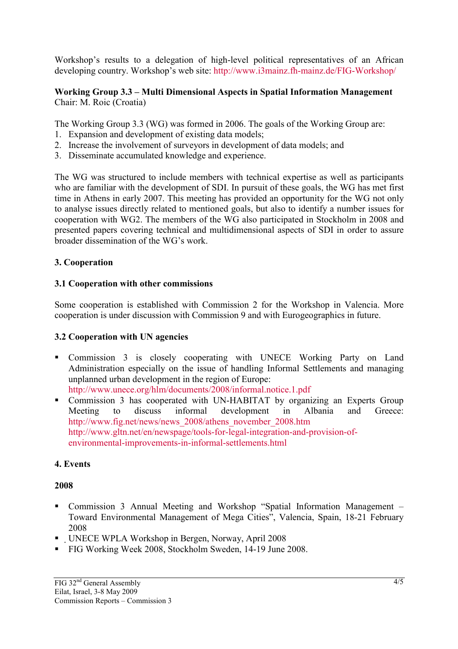Workshop's results to a delegation of high-level political representatives of an African developing country. Workshop's web site: http://www.i3mainz.fh-mainz.de/FIG-Workshop/

#### **Working Group 3.3 – Multi Dimensional Aspects in Spatial Information Management**  Chair: M. Roic (Croatia)

The Working Group 3.3 (WG) was formed in 2006. The goals of the Working Group are:

- 1. Expansion and development of existing data models;
- 2. Increase the involvement of surveyors in development of data models; and
- 3. Disseminate accumulated knowledge and experience.

The WG was structured to include members with technical expertise as well as participants who are familiar with the development of SDI. In pursuit of these goals, the WG has met first time in Athens in early 2007. This meeting has provided an opportunity for the WG not only to analyse issues directly related to mentioned goals, but also to identify a number issues for cooperation with WG2. The members of the WG also participated in Stockholm in 2008 and presented papers covering technical and multidimensional aspects of SDI in order to assure broader dissemination of the WG's work.

## **3. Cooperation**

#### **3.1 Cooperation with other commissions**

Some cooperation is established with Commission 2 for the Workshop in Valencia. More cooperation is under discussion with Commission 9 and with Eurogeographics in future.

## **3.2 Cooperation with UN agencies**

 Commission 3 is closely cooperating with UNECE Working Party on Land Administration especially on the issue of handling Informal Settlements and managing unplanned urban development in the region of Europe:

http://www.unece.org/hlm/documents/2008/informal.notice.1.pdf

• Commission 3 has cooperated with UN-HABITAT by organizing an Experts Group Meeting to discuss informal development in Albania and Greece: http://www.fig.net/news/news\_2008/athens\_november\_2008.htm http://www.gltn.net/en/newspage/tools-for-legal-integration-and-provision-ofenvironmental-improvements-in-informal-settlements.html

## **4. Events**

#### **2008**

- Commission 3 Annual Meeting and Workshop "Spatial Information Management Toward Environmental Management of Mega Cities", Valencia, Spain, 18-21 February 2008
- UNECE WPLA Workshop in Bergen, Norway, April 2008
- FIG Working Week 2008, Stockholm Sweden, 14-19 June 2008.